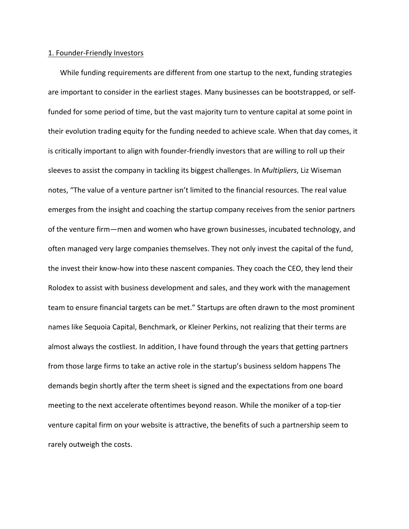## 1. Founder‐Friendly Investors

While funding requirements are different from one startup to the next, funding strategies are important to consider in the earliest stages. Many businesses can be bootstrapped, or selffunded for some period of time, but the vast majority turn to venture capital at some point in their evolution trading equity for the funding needed to achieve scale. When that day comes, it is critically important to align with founder‐friendly investors that are willing to roll up their sleeves to assist the company in tackling its biggest challenges. In *Multipliers*, Liz Wiseman notes, "The value of a venture partner isn't limited to the financial resources. The real value emerges from the insight and coaching the startup company receives from the senior partners of the venture firm—men and women who have grown businesses, incubated technology, and often managed very large companies themselves. They not only invest the capital of the fund, the invest their know‐how into these nascent companies. They coach the CEO, they lend their Rolodex to assist with business development and sales, and they work with the management team to ensure financial targets can be met." Startups are often drawn to the most prominent names like Sequoia Capital, Benchmark, or Kleiner Perkins, not realizing that their terms are almost always the costliest. In addition, I have found through the years that getting partners from those large firms to take an active role in the startup's business seldom happens The demands begin shortly after the term sheet is signed and the expectations from one board meeting to the next accelerate oftentimes beyond reason. While the moniker of a top-tier venture capital firm on your website is attractive, the benefits of such a partnership seem to rarely outweigh the costs.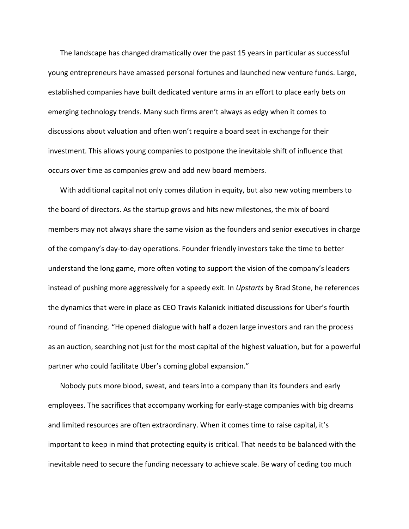The landscape has changed dramatically over the past 15 years in particular as successful young entrepreneurs have amassed personal fortunes and launched new venture funds. Large, established companies have built dedicated venture arms in an effort to place early bets on emerging technology trends. Many such firms aren't always as edgy when it comes to discussions about valuation and often won't require a board seat in exchange for their investment. This allows young companies to postpone the inevitable shift of influence that occurs over time as companies grow and add new board members.

With additional capital not only comes dilution in equity, but also new voting members to the board of directors. As the startup grows and hits new milestones, the mix of board members may not always share the same vision as the founders and senior executives in charge of the company's day‐to‐day operations. Founder friendly investors take the time to better understand the long game, more often voting to support the vision of the company's leaders instead of pushing more aggressively for a speedy exit. In *Upstarts* by Brad Stone, he references the dynamics that were in place as CEO Travis Kalanick initiated discussions for Uber's fourth round of financing. "He opened dialogue with half a dozen large investors and ran the process as an auction, searching not just for the most capital of the highest valuation, but for a powerful partner who could facilitate Uber's coming global expansion."

Nobody puts more blood, sweat, and tears into a company than its founders and early employees. The sacrifices that accompany working for early‐stage companies with big dreams and limited resources are often extraordinary. When it comes time to raise capital, it's important to keep in mind that protecting equity is critical. That needs to be balanced with the inevitable need to secure the funding necessary to achieve scale. Be wary of ceding too much